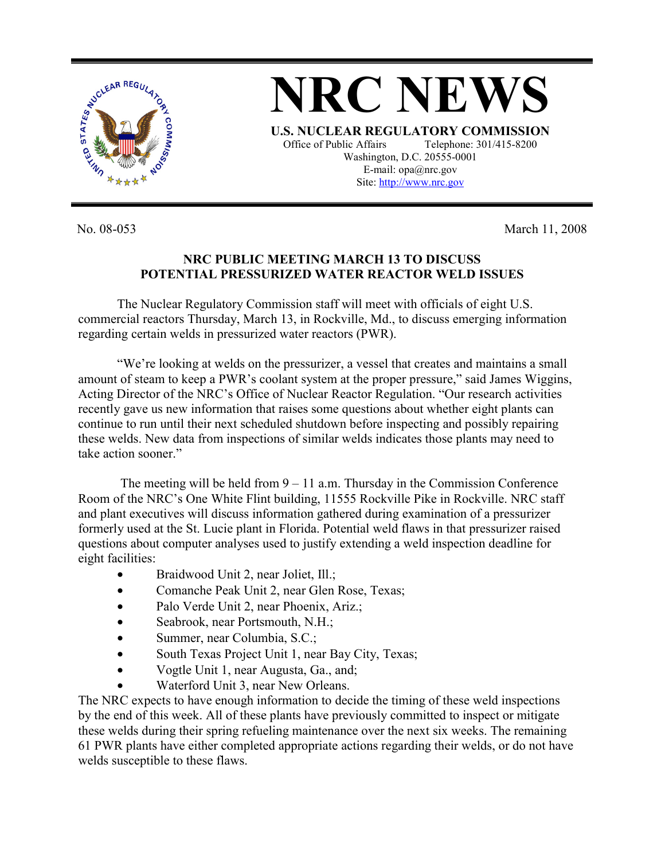

**NRC NEWS U.S. NUCLEAR REGULATORY COMMISSION** Office of Public Affairs Telephone: 301/415-8200 Washington, D.C. 20555-0001 E-mail: opa@nrc.gov Site: http://www.nrc.gov

No. 08-053 March 11, 2008

## **NRC PUBLIC MEETING MARCH 13 TO DISCUSS POTENTIAL PRESSURIZED WATER REACTOR WELD ISSUES**

 The Nuclear Regulatory Commission staff will meet with officials of eight U.S. commercial reactors Thursday, March 13, in Rockville, Md., to discuss emerging information regarding certain welds in pressurized water reactors (PWR).

 "We're looking at welds on the pressurizer, a vessel that creates and maintains a small amount of steam to keep a PWR's coolant system at the proper pressure," said James Wiggins, Acting Director of the NRC's Office of Nuclear Reactor Regulation. "Our research activities recently gave us new information that raises some questions about whether eight plants can continue to run until their next scheduled shutdown before inspecting and possibly repairing these welds. New data from inspections of similar welds indicates those plants may need to take action sooner."

The meeting will be held from  $9 - 11$  a.m. Thursday in the Commission Conference Room of the NRC's One White Flint building, 11555 Rockville Pike in Rockville. NRC staff and plant executives will discuss information gathered during examination of a pressurizer formerly used at the St. Lucie plant in Florida. Potential weld flaws in that pressurizer raised questions about computer analyses used to justify extending a weld inspection deadline for eight facilities:

- Braidwood Unit 2, near Joliet, Ill.;
- Comanche Peak Unit 2, near Glen Rose, Texas;
- Palo Verde Unit 2, near Phoenix, Ariz.;
- Seabrook, near Portsmouth, N.H.;
- Summer, near Columbia, S.C.;
- South Texas Project Unit 1, near Bay City, Texas;
- Vogtle Unit 1, near Augusta, Ga., and;
- Waterford Unit 3, near New Orleans.

The NRC expects to have enough information to decide the timing of these weld inspections by the end of this week. All of these plants have previously committed to inspect or mitigate these welds during their spring refueling maintenance over the next six weeks. The remaining 61 PWR plants have either completed appropriate actions regarding their welds, or do not have welds susceptible to these flaws.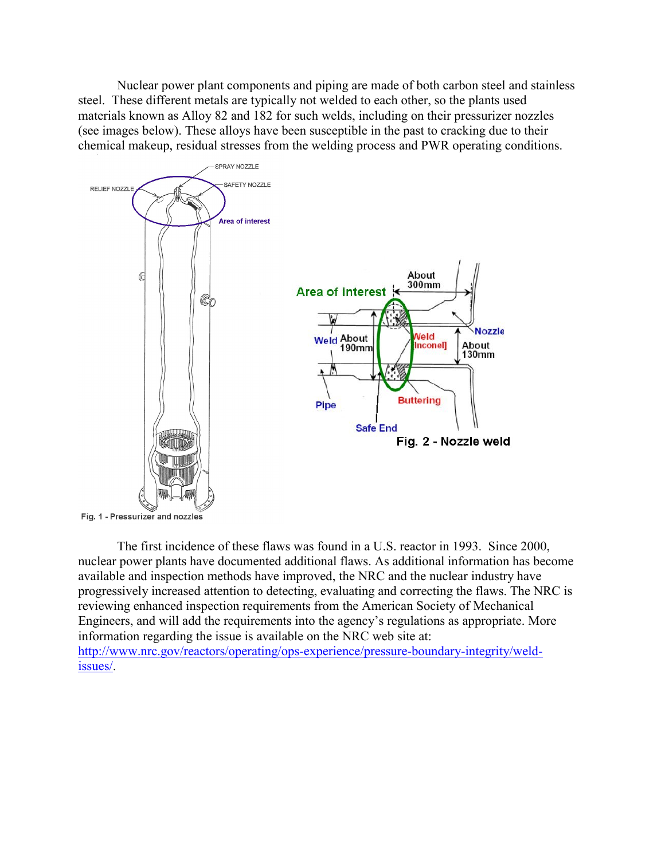Nuclear power plant components and piping are made of both carbon steel and stainless steel. These different metals are typically not welded to each other, so the plants used materials known as Alloy 82 and 182 for such welds, including on their pressurizer nozzles (see images below). These alloys have been susceptible in the past to cracking due to their chemical makeup, residual stresses from the welding process and PWR operating conditions.



 The first incidence of these flaws was found in a U.S. reactor in 1993. Since 2000, nuclear power plants have documented additional flaws. As additional information has become available and inspection methods have improved, the NRC and the nuclear industry have progressively increased attention to detecting, evaluating and correcting the flaws. The NRC is reviewing enhanced inspection requirements from the American Society of Mechanical Engineers, and will add the requirements into the agency's regulations as appropriate. More information regarding the issue is available on the NRC web site at: http://www.nrc.gov/reactors/operating/ops-experience/pressure-boundary-integrity/weldissues/.